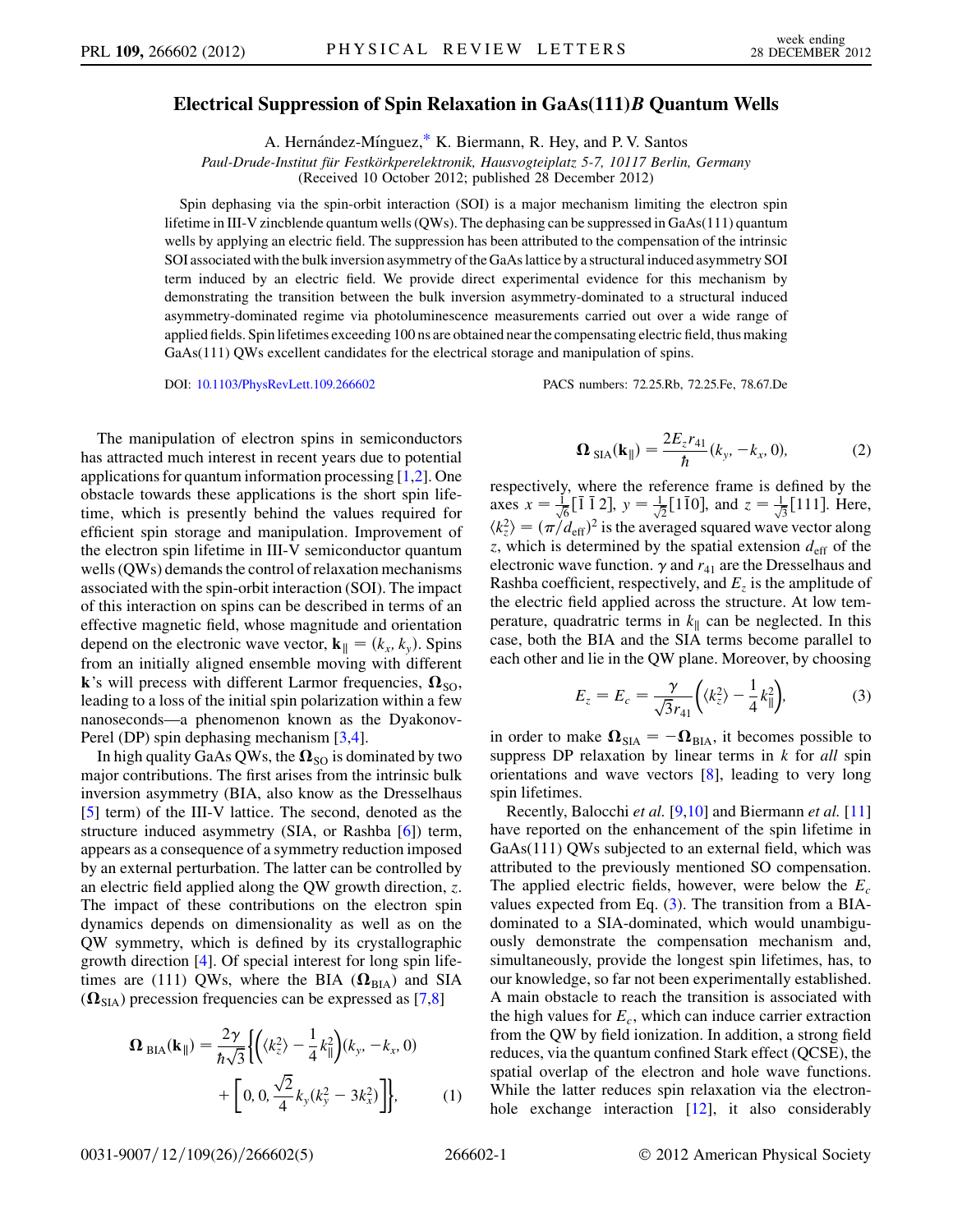## <span id="page-0-3"></span>Electrical Suppression of Spin Relaxation in GaAs(111)*B* Quantum Wells

A. Hernández-Mínguez,[\\*](#page-4-0) K. Biermann, R. Hey, and P. V. Santos

Paul-Drude-Institut für Festkörkperelektronik, Hausvogteiplatz 5-7, 10117 Berlin, Germany

(Received 10 October 2012; published 28 December 2012)

Spin dephasing via the spin-orbit interaction (SOI) is a major mechanism limiting the electron spin lifetime in III-V zincblende quantum wells (QWs). The dephasing can be suppressed in GaAs(111) quantum wells by applying an electric field. The suppression has been attributed to the compensation of the intrinsic SOI associated with the bulk inversion asymmetry of the GaAs lattice by a structural induced asymmetry SOI term induced by an electric field. We provide direct experimental evidence for this mechanism by demonstrating the transition between the bulk inversion asymmetry-dominated to a structural induced asymmetry-dominated regime via photoluminescence measurements carried out over a wide range of applied fields. Spin lifetimes exceeding 100 ns are obtained near the compensating electric field, thus making GaAs(111) QWs excellent candidates for the electrical storage and manipulation of spins.

DOI: [10.1103/PhysRevLett.109.266602](http://dx.doi.org/10.1103/PhysRevLett.109.266602) PACS numbers: 72.25.Rb, 72.25.Fe, 78.67.De

The manipulation of electron spins in semiconductors has attracted much interest in recent years due to potential applications for quantum information processing [[1](#page-4-1)[,2\]](#page-4-2). One obstacle towards these applications is the short spin lifetime, which is presently behind the values required for efficient spin storage and manipulation. Improvement of the electron spin lifetime in III-V semiconductor quantum wells (QWs) demands the control of relaxation mechanisms associated with the spin-orbit interaction (SOI). The impact of this interaction on spins can be described in terms of an effective magnetic field, whose magnitude and orientation depend on the electronic wave vector,  $\mathbf{k}_{\parallel} = (k_x, k_y)$ . Spins from an initially aligned ensemble moving with different k's will precess with different Larmor frequencies,  $\Omega_{\text{SO}}$ , leading to a loss of the initial spin polarization within a few nanoseconds—a phenomenon known as the Dyakonov-Perel (DP) spin dephasing mechanism [[3](#page-4-3),[4](#page-4-4)].

In high quality GaAs QWs, the  $\Omega_{\text{SO}}$  is dominated by two major contributions. The first arises from the intrinsic bulk inversion asymmetry (BIA, also know as the Dresselhaus [\[5\]](#page-4-5) term) of the III-V lattice. The second, denoted as the structure induced asymmetry (SIA, or Rashba [[6](#page-4-6)]) term, appears as a consequence of a symmetry reduction imposed by an external perturbation. The latter can be controlled by an electric field applied along the QW growth direction, z. The impact of these contributions on the electron spin dynamics depends on dimensionality as well as on the QW symmetry, which is defined by its crystallographic growth direction [\[4](#page-4-4)]. Of special interest for long spin lifetimes are (111) QWs, where the BIA ( $\Omega_{\text{BIA}}$ ) and SIA  $(\Omega_{\text{SIA}})$  precession frequencies can be expressed as [\[7,](#page-4-7)[8](#page-4-8)]

<span id="page-0-2"></span>
$$
\Omega_{\text{BIA}}(\mathbf{k}_{\parallel}) = \frac{2\gamma}{\hbar\sqrt{3}} \left\{ \left( \langle k_z^2 \rangle - \frac{1}{4} k_{\parallel}^2 \right) (k_y, -k_x, 0) + \left[ 0, 0, \frac{\sqrt{2}}{4} k_y (k_y^2 - 3k_x^2) \right] \right\},\tag{1}
$$

$$
\mathbf{\Omega}_{\text{SIA}}(\mathbf{k}_{\parallel}) = \frac{2E_z r_{41}}{\hbar}(k_y, -k_x, 0),\tag{2}
$$

<span id="page-0-1"></span>respectively, where the reference frame is defined by the axes  $x = \frac{1}{\sqrt{6}} [\overline{1} \ \overline{1} \ 2], y = \frac{1}{\sqrt{2}} [\overline{1} \ \overline{1} \ 0],$  and  $z = \frac{1}{\sqrt{3}} [\overline{1} \ 11]$ . Here,  $\langle k_z^2 \rangle = (\pi/d_{\text{eff}})^2$  is the averaged squared wave vector along z, which is determined by the spatial extension  $d_{\text{eff}}$  of the electronic wave function.  $\gamma$  and  $r_{41}$  are the Dresselhaus and Rashba coefficient, respectively, and  $E<sub>z</sub>$  is the amplitude of the electric field applied across the structure. At low temperature, quadratric terms in  $k_{\parallel}$  can be neglected. In this case, both the BIA and the SIA terms become parallel to each other and lie in the QW plane. Moreover, by choosing and the state

$$
E_z = E_c = \frac{\gamma}{\sqrt{3}r_{41}} \left( \langle k_z^2 \rangle - \frac{1}{4} k_{\parallel}^2 \right), \tag{3}
$$

<span id="page-0-0"></span>in order to make  $\mathbf{\Omega}_{\text{SIA}} = -\mathbf{\Omega}_{\text{BIA}}$ , it becomes possible to suppress DP relaxation by linear terms in  $k$  for all spin orientations and wave vectors [[8\]](#page-4-8), leading to very long spin lifetimes.

Recently, Balocchi et al. [[9,](#page-4-9)[10](#page-4-10)] and Biermann et al. [\[11\]](#page-4-11) have reported on the enhancement of the spin lifetime in GaAs(111) QWs subjected to an external field, which was attributed to the previously mentioned SO compensation. The applied electric fields, however, were below the  $E_c$ values expected from Eq. ([3](#page-0-0)). The transition from a BIAdominated to a SIA-dominated, which would unambiguously demonstrate the compensation mechanism and, simultaneously, provide the longest spin lifetimes, has, to our knowledge, so far not been experimentally established. A main obstacle to reach the transition is associated with the high values for  $E_c$ , which can induce carrier extraction from the QW by field ionization. In addition, a strong field reduces, via the quantum confined Stark effect (QCSE), the spatial overlap of the electron and hole wave functions. While the latter reduces spin relaxation via the electron-hole exchange interaction [\[12\]](#page-4-12), it also considerably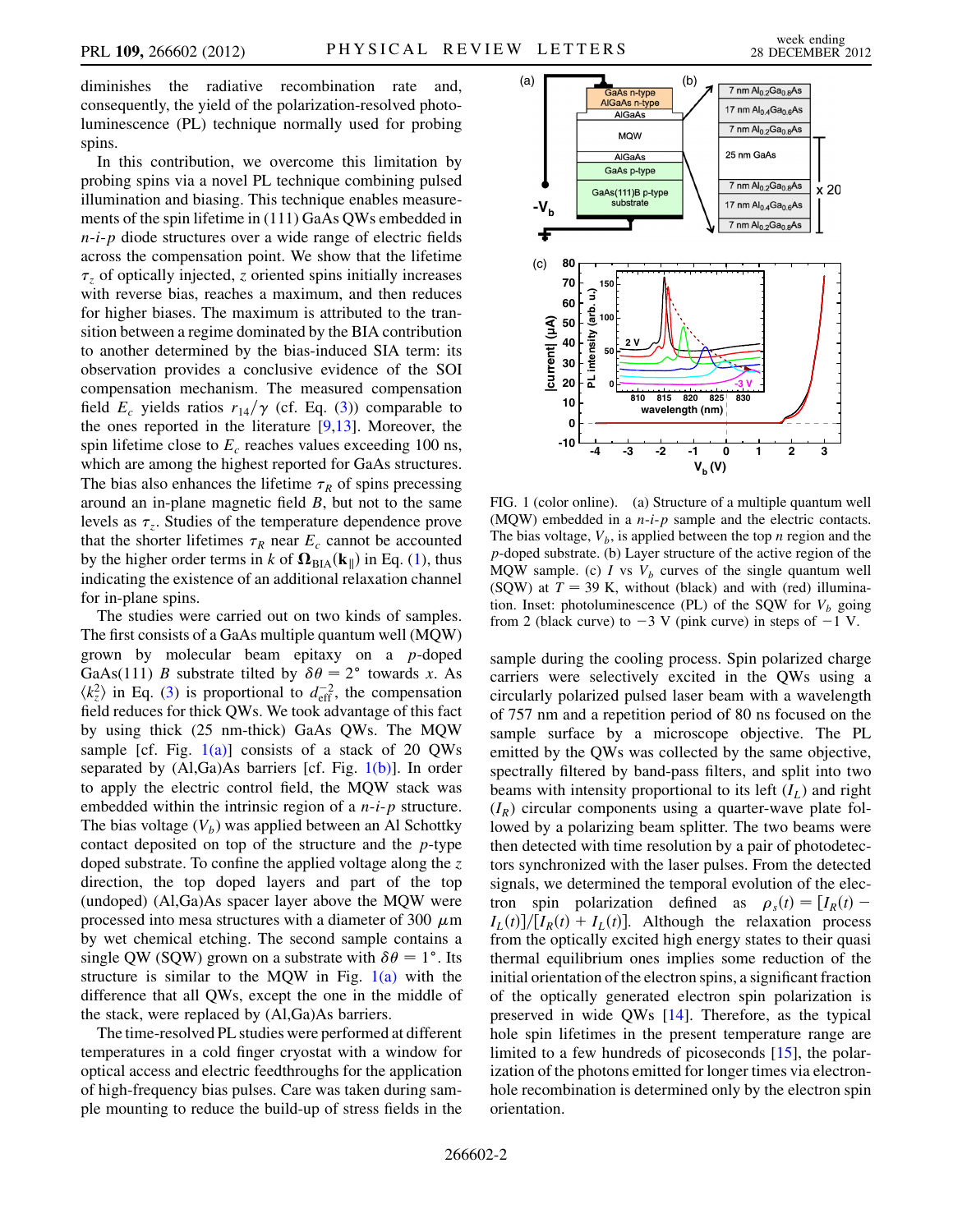diminishes the radiative recombination rate and, consequently, the yield of the polarization-resolved photoluminescence (PL) technique normally used for probing spins.

In this contribution, we overcome this limitation by probing spins via a novel PL technique combining pulsed illumination and biasing. This technique enables measurements of the spin lifetime in (111) GaAs QWs embedded in  $n-i-p$  diode structures over a wide range of electric fields across the compensation point. We show that the lifetime  $\tau_z$  of optically injected, z oriented spins initially increases with reverse bias, reaches a maximum, and then reduces for higher biases. The maximum is attributed to the transition between a regime dominated by the BIA contribution to another determined by the bias-induced SIA term: its observation provides a conclusive evidence of the SOI compensation mechanism. The measured compensation field  $E_c$  yields ratios  $r_{14}/\gamma$  (cf. Eq. [\(3\)](#page-0-0)) comparable to the ones reported in the literature [[9,](#page-4-9)[13\]](#page-4-13). Moreover, the spin lifetime close to  $E_c$  reaches values exceeding 100 ns, which are among the highest reported for GaAs structures. The bias also enhances the lifetime  $\tau_R$  of spins precessing around an in-plane magnetic field  $B$ , but not to the same levels as  $\tau_z$ . Studies of the temperature dependence prove that the shorter lifetimes  $\tau_R$  near  $E_c$  cannot be accounted by the higher order terms in k of  $\Omega_{\text{BIA}}(\mathbf{k}_{\parallel})$  in Eq. ([1\)](#page-0-1), thus indicating the existence of an additional relaxation channel for in-plane spins.

The studies were carried out on two kinds of samples. The first consists of a GaAs multiple quantum well (MQW) grown by molecular beam epitaxy on a p-doped GaAs(111) *B* substrate tilted by  $\delta\theta = 2^{\circ}$  towards *x*. As  $\langle k_z^2 \rangle$  in Eq. ([3\)](#page-0-0) is proportional to  $d_{\text{eff}}^{-2}$ , the compensation field reduces for thick QWs. We took advantage of this fact by using thick (25 nm-thick) GaAs QWs. The MQW sample [cf. Fig.  $1(a)$ ] consists of a stack of 20 QWs separated by  $(Al,Ga)As$  barriers [cf. Fig.  $1(b)$ ]. In order to apply the electric control field, the MQW stack was embedded within the intrinsic region of a  $n-i-p$  structure. The bias voltage  $(V_b)$  was applied between an Al Schottky contact deposited on top of the structure and the p-type doped substrate. To confine the applied voltage along the  $z$ direction, the top doped layers and part of the top (undoped) (Al,Ga)As spacer layer above the MQW were processed into mesa structures with a diameter of 300  $\mu$ m by wet chemical etching. The second sample contains a single QW (SQW) grown on a substrate with  $\delta\theta = 1^{\circ}$ . Its structure is similar to the MQW in Fig.  $1(a)$  with the difference that all QWs, except the one in the middle of the stack, were replaced by (Al,Ga)As barriers.

The time-resolved PL studies were performed at different temperatures in a cold finger cryostat with a window for optical access and electric feedthroughs for the application of high-frequency bias pulses. Care was taken during sample mounting to reduce the build-up of stress fields in the



<span id="page-1-0"></span>FIG. 1 (color online). (a) Structure of a multiple quantum well (MQW) embedded in a  $n-i-p$  sample and the electric contacts. The bias voltage,  $V_b$ , is applied between the top *n* region and the p-doped substrate. (b) Layer structure of the active region of the MQW sample. (c) I vs  $V_b$  curves of the single quantum well (SQW) at  $T = 39$  K, without (black) and with (red) illumination. Inset: photoluminescence (PL) of the SQW for  $V_b$  going from 2 (black curve) to  $-3$  V (pink curve) in steps of  $-1$  V.

sample during the cooling process. Spin polarized charge carriers were selectively excited in the QWs using a circularly polarized pulsed laser beam with a wavelength of 757 nm and a repetition period of 80 ns focused on the sample surface by a microscope objective. The PL emitted by the QWs was collected by the same objective, spectrally filtered by band-pass filters, and split into two beams with intensity proportional to its left  $(I_L)$  and right  $(I_R)$  circular components using a quarter-wave plate followed by a polarizing beam splitter. The two beams were then detected with time resolution by a pair of photodetectors synchronized with the laser pulses. From the detected signals, we determined the temporal evolution of the electron spin polarization defined as  $\rho_s(t) = [I_R(t) I_L(t)$ ]/ $[I_R(t) + I_L(t)]$ . Although the relaxation process from the optically excited high energy states to their quasi thermal equilibrium ones implies some reduction of the initial orientation of the electron spins, a significant fraction of the optically generated electron spin polarization is preserved in wide QWs [\[14\]](#page-4-14). Therefore, as the typical hole spin lifetimes in the present temperature range are limited to a few hundreds of picoseconds [[15](#page-4-15)], the polarization of the photons emitted for longer times via electronhole recombination is determined only by the electron spin orientation.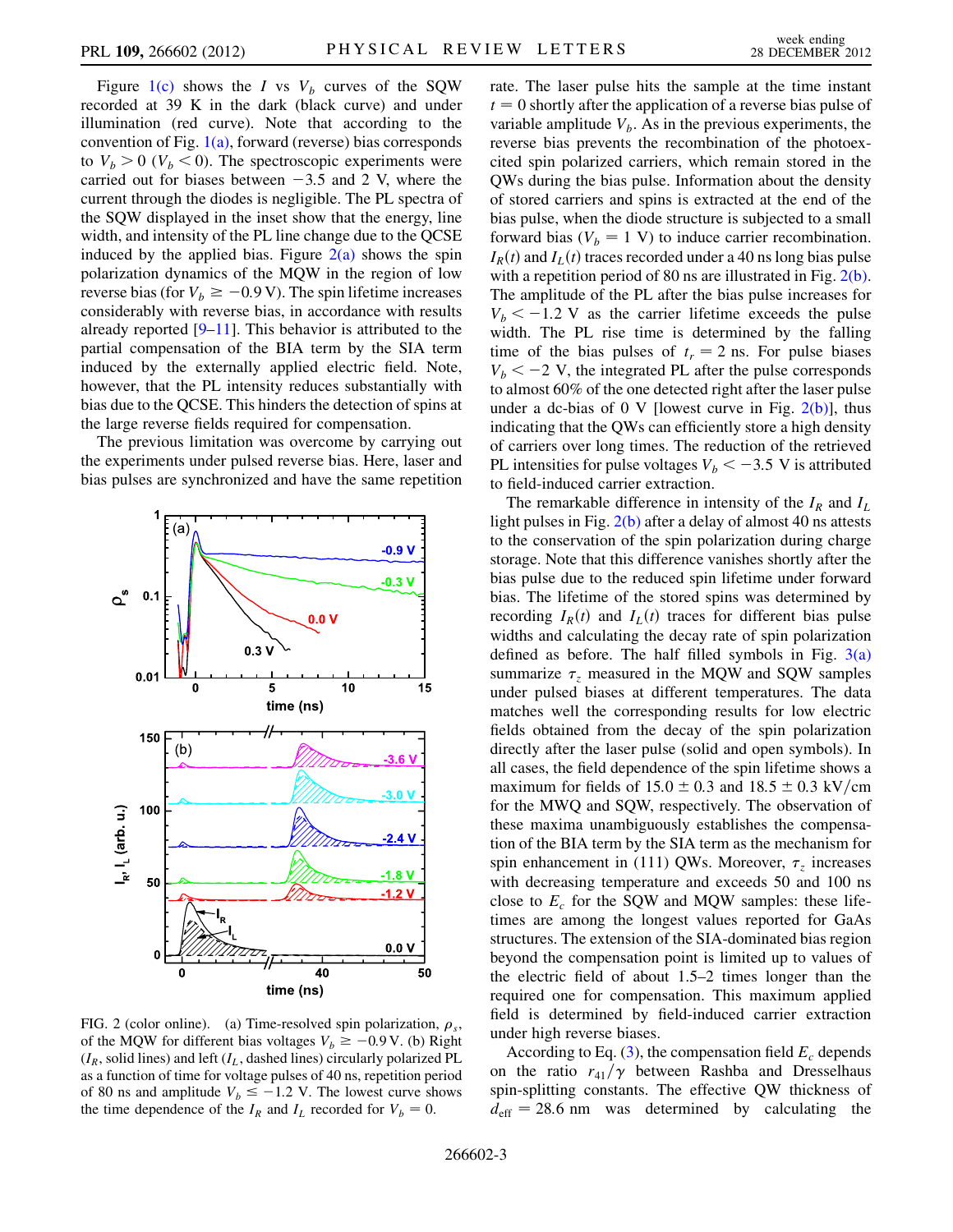Figure [1\(c\)](#page-1-0) shows the I vs  $V_b$  curves of the SQW recorded at 39 K in the dark (black curve) and under illumination (red curve). Note that according to the convention of Fig.  $1(a)$ , forward (reverse) bias corresponds to  $V_b > 0$  ( $V_b < 0$ ). The spectroscopic experiments were carried out for biases between  $-3.5$  and 2 V, where the current through the diodes is negligible. The PL spectra of the SQW displayed in the inset show that the energy, line width, and intensity of the PL line change due to the QCSE induced by the applied bias. Figure  $2(a)$  shows the spin polarization dynamics of the MQW in the region of low reverse bias (for  $V_b \ge -0.9$  V). The spin lifetime increases considerably with reverse bias, in accordance with results already reported  $[9-11]$  $[9-11]$  $[9-11]$ . This behavior is attributed to the partial compensation of the BIA term by the SIA term induced by the externally applied electric field. Note, however, that the PL intensity reduces substantially with bias due to the QCSE. This hinders the detection of spins at the large reverse fields required for compensation.

The previous limitation was overcome by carrying out the experiments under pulsed reverse bias. Here, laser and bias pulses are synchronized and have the same repetition



<span id="page-2-0"></span>FIG. 2 (color online). (a) Time-resolved spin polarization,  $\rho_s$ , of the MQW for different bias voltages  $V_b \ge -0.9$  V. (b) Right  $(I_R,$  solid lines) and left  $(I_L,$  dashed lines) circularly polarized PL as a function of time for voltage pulses of 40 ns, repetition period of 80 ns and amplitude  $V_b \le -1.2$  V. The lowest curve shows the time dependence of the  $I_R$  and  $I_L$  recorded for  $V_b = 0$ .

rate. The laser pulse hits the sample at the time instant  $t = 0$  shortly after the application of a reverse bias pulse of variable amplitude  $V_b$ . As in the previous experiments, the reverse bias prevents the recombination of the photoexcited spin polarized carriers, which remain stored in the QWs during the bias pulse. Information about the density of stored carriers and spins is extracted at the end of the bias pulse, when the diode structure is subjected to a small forward bias ( $V_b = 1$  V) to induce carrier recombination.  $I_R(t)$  and  $I_L(t)$  traces recorded under a 40 ns long bias pulse with a repetition period of 80 ns are illustrated in Fig. [2\(b\)](#page-2-0). The amplitude of the PL after the bias pulse increases for  $V_b < -1.2$  V as the carrier lifetime exceeds the pulse width. The PL rise time is determined by the falling time of the bias pulses of  $t_r = 2$  ns. For pulse biases  $V_b < -2$  V, the integrated PL after the pulse corresponds to almost 60% of the one detected right after the laser pulse under a dc-bias of 0 V [lowest curve in Fig.  $2(b)$ ], thus indicating that the QWs can efficiently store a high density of carriers over long times. The reduction of the retrieved PL intensities for pulse voltages  $V_b < -3.5$  V is attributed to field-induced carrier extraction.

The remarkable difference in intensity of the  $I_R$  and  $I_L$ light pulses in Fig. [2\(b\)](#page-2-0) after a delay of almost 40 ns attests to the conservation of the spin polarization during charge storage. Note that this difference vanishes shortly after the bias pulse due to the reduced spin lifetime under forward bias. The lifetime of the stored spins was determined by recording  $I_R(t)$  and  $I_L(t)$  traces for different bias pulse widths and calculating the decay rate of spin polarization defined as before. The half filled symbols in Fig.  $3(a)$ summarize  $\tau$ <sub>z</sub> measured in the MQW and SQW samples under pulsed biases at different temperatures. The data matches well the corresponding results for low electric fields obtained from the decay of the spin polarization directly after the laser pulse (solid and open symbols). In all cases, the field dependence of the spin lifetime shows a maximum for fields of  $15.0 \pm 0.3$  and  $18.5 \pm 0.3$  kV/cm for the MWQ and SQW, respectively. The observation of these maxima unambiguously establishes the compensation of the BIA term by the SIA term as the mechanism for spin enhancement in (111) QWs. Moreover,  $\tau$ <sub>z</sub> increases with decreasing temperature and exceeds 50 and 100 ns close to  $E_c$  for the SQW and MQW samples: these lifetimes are among the longest values reported for GaAs structures. The extension of the SIA-dominated bias region beyond the compensation point is limited up to values of the electric field of about 1.5–2 times longer than the required one for compensation. This maximum applied field is determined by field-induced carrier extraction under high reverse biases.

According to Eq. [\(3\)](#page-0-0), the compensation field  $E_c$  depends on the ratio  $r_{41}/\gamma$  between Rashba and Dresselhaus spin-splitting constants. The effective QW thickness of  $d_{\text{eff}}$  = 28.6 nm was determined by calculating the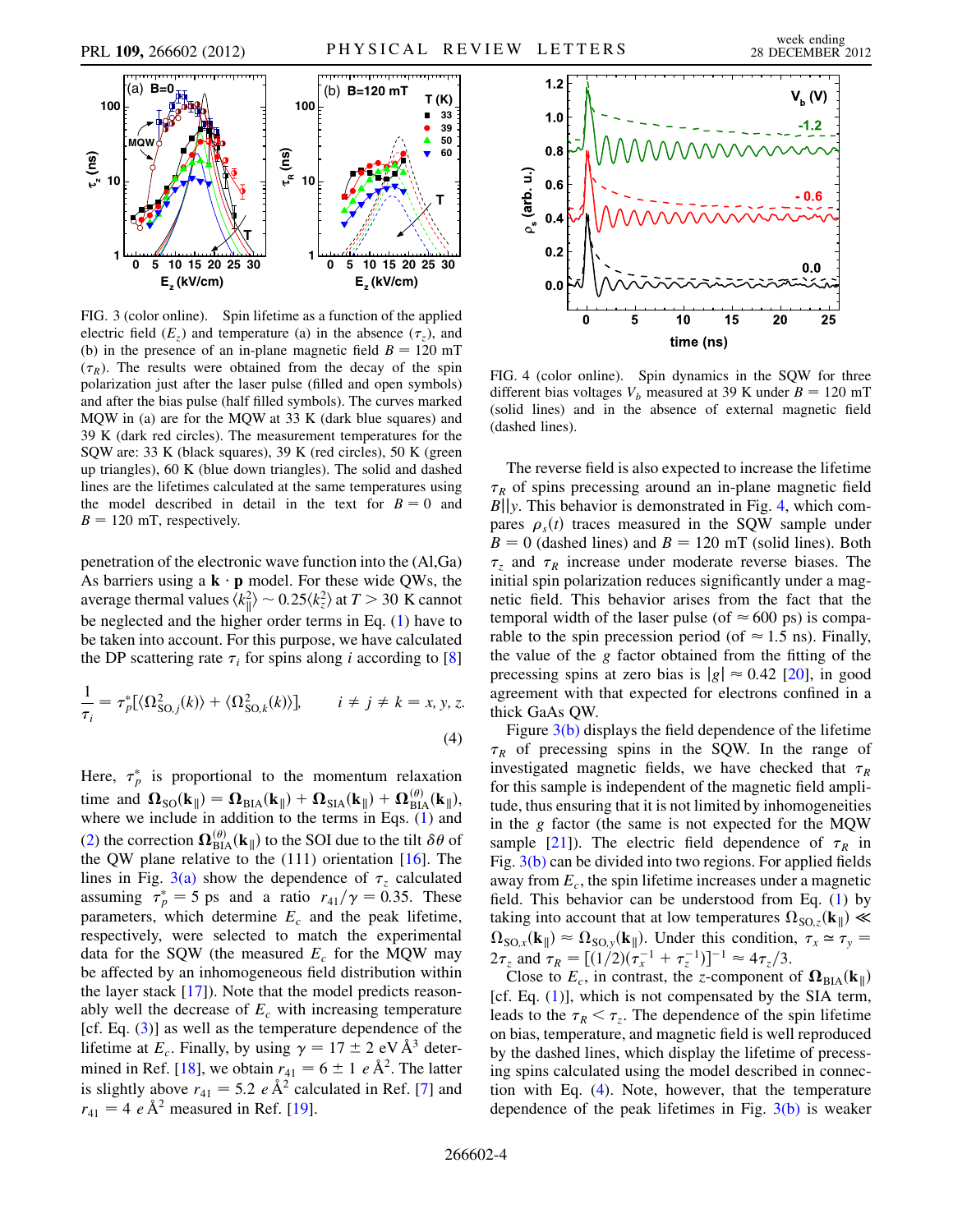

<span id="page-3-0"></span>FIG. 3 (color online). Spin lifetime as a function of the applied electric field  $(E_z)$  and temperature (a) in the absence  $(\tau_z)$ , and (b) in the presence of an in-plane magnetic field  $B = 120$  mT  $(\tau_R)$ . The results were obtained from the decay of the spin polarization just after the laser pulse (filled and open symbols) and after the bias pulse (half filled symbols). The curves marked MQW in (a) are for the MQW at 33 K (dark blue squares) and 39 K (dark red circles). The measurement temperatures for the SQW are: 33 K (black squares), 39 K (red circles), 50 K (green up triangles), 60 K (blue down triangles). The solid and dashed lines are the lifetimes calculated at the same temperatures using the model described in detail in the text for  $B = 0$  and  $B = 120$  mT, respectively.

penetration of the electronic wave function into the (Al,Ga) As barriers using a  $\mathbf{k} \cdot \mathbf{p}$  model. For these wide QWs, the average thermal values  $\langle k_{\parallel}^2 \rangle \sim 0.25 \langle k_z^2 \rangle$  at  $T > 30$  K cannot be neglected and the higher order terms in Eq. ([1\)](#page-0-1) have to be taken into account. For this purpose, we have calculated the DP scattering rate  $\tau_i$  for spins along i according to [\[8\]](#page-4-8)

<span id="page-3-2"></span>
$$
\frac{1}{\tau_i} = \tau_p^* [\langle \Omega_{\text{SO},j}^2(k) \rangle + \langle \Omega_{\text{SO},k}^2(k) \rangle], \qquad i \neq j \neq k = x, y, z.
$$
\n(4)

Here,  $\tau_p^*$  is proportional to the momentum relaxation time and  $\mathbf{\Omega}_{\text{SO}}(\mathbf{k}_{\parallel}) = \mathbf{\Omega}_{\text{BIA}}(\mathbf{k}_{\parallel}) + \mathbf{\Omega}_{\text{SIA}}(\mathbf{k}_{\parallel}) + \mathbf{\Omega}_{\text{BIA}}^{(\theta)}(\mathbf{k}_{\parallel}),$ where we include in addition to the terms in Eqs. ([1](#page-0-1)) and [\(2\)](#page-0-2) the correction  $\Omega_{\text{BIA}}^{(\theta)}(\mathbf{k}_{\parallel})$  to the SOI due to the tilt  $\delta\theta$  of the QW plane relative to the  $(111)$  orientation  $[16]$ . The lines in Fig. [3\(a\)](#page-3-0) show the dependence of  $\tau_z$  calculated assuming  $\tau_p^* = 5$  ps and a ratio  $r_{41}/\gamma = 0.35$ . These parameters, which determine  $E_c$  and the peak lifetime, respectively, were selected to match the experimental data for the SQW (the measured  $E_c$  for the MQW may be affected by an inhomogeneous field distribution within the layer stack [[17](#page-4-17)]). Note that the model predicts reasonably well the decrease of  $E_c$  with increasing temperature [cf. Eq.  $(3)$  $(3)$ ] as well as the temperature dependence of the lifetime at  $E_c$ . Finally, by using  $\gamma = 17 \pm 2 \text{ eV} \text{Å}^3$  deter-mined in Ref. [[18\]](#page-4-18), we obtain  $r_{41} = 6 \pm 1 e \text{ Å}^2$ . The latter is slightly above  $r_{41} = 5.2 e \text{ Å}^2$  calculated in Ref. [\[7](#page-4-7)] and  $r_{41} = 4 e \text{ Å}^2$  measured in Ref. [[19](#page-4-19)].

<span id="page-3-1"></span>

FIG. 4 (color online). Spin dynamics in the SQW for three different bias voltages  $V_b$  measured at 39 K under  $B = 120$  mT (solid lines) and in the absence of external magnetic field (dashed lines).

The reverse field is also expected to increase the lifetime  $\tau_R$  of spins precessing around an in-plane magnetic field  $B||y$ . This behavior is demonstrated in Fig. [4,](#page-3-1) which compares  $\rho_s(t)$  traces measured in the SQW sample under  $B = 0$  (dashed lines) and  $B = 120$  mT (solid lines). Both  $\tau_z$  and  $\tau_R$  increase under moderate reverse biases. The initial spin polarization reduces significantly under a magnetic field. This behavior arises from the fact that the temporal width of the laser pulse (of  $\approx 600$  ps) is comparable to the spin precession period (of  $\approx$  1.5 ns). Finally, the value of the g factor obtained from the fitting of the precessing spins at zero bias is  $|g| \approx 0.42$  [\[20\]](#page-4-20), in good agreement with that expected for electrons confined in a thick GaAs QW.

Figure [3\(b\)](#page-3-0) displays the field dependence of the lifetime  $\tau_R$  of precessing spins in the SQW. In the range of investigated magnetic fields, we have checked that  $\tau_R$ for this sample is independent of the magnetic field amplitude, thus ensuring that it is not limited by inhomogeneities in the  $g$  factor (the same is not expected for the MQW sample [\[21\]](#page-4-21)). The electric field dependence of  $\tau_R$  in Fig. [3\(b\)](#page-3-0) can be divided into two regions. For applied fields away from  $E_c$ , the spin lifetime increases under a magnetic field. This behavior can be understood from Eq. [\(1\)](#page-0-1) by taking into account that at low temperatures  $\Omega_{\text{SO},z}(\mathbf{k}_{\parallel}) \ll$  $\Omega_{\text{SO},x}(\mathbf{k}_{\parallel}) \approx \Omega_{\text{SO},y}(\mathbf{k}_{\parallel})$ . Under this condition,  $\tau_x \approx \tau_y =$  $2\tau_z$  and  $\tau_R = [(1/2)(\tau_x^{-1} + \tau_z^{-1})]^{-1} \approx 4\tau_z/3.$ 

Close to  $E_c$ , in contrast, the z-component of  $\Omega_{\text{BIA}}(\mathbf{k}_{\parallel})$ [cf. Eq.  $(1)$  $(1)$ ], which is not compensated by the SIA term, leads to the  $\tau_R < \tau_z$ . The dependence of the spin lifetime on bias, temperature, and magnetic field is well reproduced by the dashed lines, which display the lifetime of precessing spins calculated using the model described in connection with Eq. [\(4](#page-3-2)). Note, however, that the temperature dependence of the peak lifetimes in Fig.  $3(b)$  is weaker